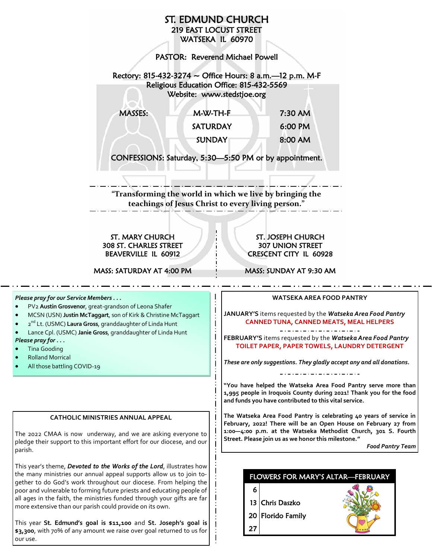

This year **St. Edmund's goal is \$11,100** and **St. Joseph's goal is \$3,300**, with 70% of any amount we raise over goal returned to us for our use.

parish.

**"You have helped the Watseka Area Food Pantry serve more than 1,995 people in Iroquois County during 2021! Thank you for the food** 

**The Watseka Area Food Pantry is celebrating 40 years of service in February, 2022! There will be an Open House on February 27 from 1:00—4:00 p.m. at the Watseka Methodist Church, 301 S. Fourth** 

*Food Pantry Team*